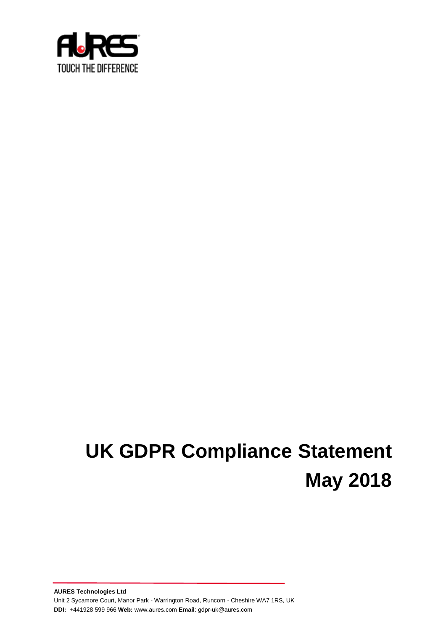

# **UK GDPR Compliance Statement May 2018**

**AURES Technologies Ltd** Unit 2 Sycamore Court, Manor Park - Warrington Road, Runcorn - Cheshire WA7 1RS, UK **DDI:** +441928 599 966 **Web:** www[.aures.com](http://www.aures.com/) **Email**[: gdpr-uk@aures.com](mailto:gdpr-uk@aures.com)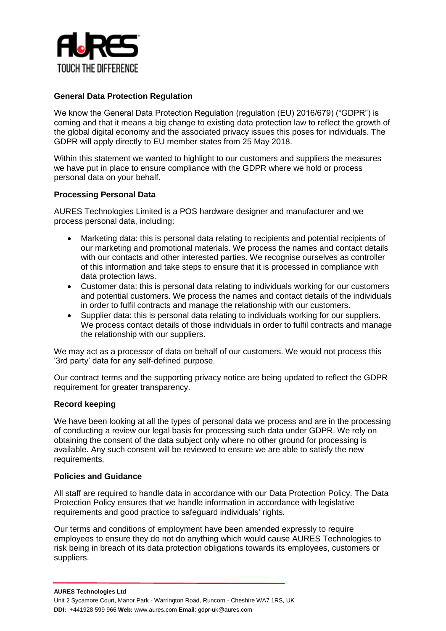

# **General Data Protection Regulation**

We know the General Data Protection Regulation (regulation (EU) 2016/679) ("GDPR") is coming and that it means a big change to existing data protection law to reflect the growth of the global digital economy and the associated privacy issues this poses for individuals. The GDPR will apply directly to EU member states from 25 May 2018.

Within this statement we wanted to highlight to our customers and suppliers the measures we have put in place to ensure compliance with the GDPR where we hold or process personal data on your behalf.

# **Processing Personal Data**

AURES Technologies Limited is a POS hardware designer and manufacturer and we process personal data, including:

- Marketing data: this is personal data relating to recipients and potential recipients of our marketing and promotional materials. We process the names and contact details with our contacts and other interested parties. We recognise ourselves as controller of this information and take steps to ensure that it is processed in compliance with data protection laws.
- Customer data: this is personal data relating to individuals working for our customers and potential customers. We process the names and contact details of the individuals in order to fulfil contracts and manage the relationship with our customers.
- Supplier data: this is personal data relating to individuals working for our suppliers. We process contact details of those individuals in order to fulfil contracts and manage the relationship with our suppliers.

We may act as a processor of data on behalf of our customers. We would not process this '3rd party' data for any self-defined purpose.

Our contract terms and the supporting privacy notice are being updated to reflect the GDPR requirement for greater transparency.

# **Record keeping**

We have been looking at all the types of personal data we process and are in the processing of conducting a review our legal basis for processing such data under GDPR. We rely on obtaining the consent of the data subject only where no other ground for processing is available. Any such consent will be reviewed to ensure we are able to satisfy the new requirements.

#### **Policies and Guidance**

All staff are required to handle data in accordance with our Data Protection Policy. The Data Protection Policy ensures that we handle information in accordance with legislative requirements and good practice to safeguard individuals' rights.

Our terms and conditions of employment have been amended expressly to require employees to ensure they do not do anything which would cause AURES Technologies to risk being in breach of its data protection obligations towards its employees, customers or suppliers.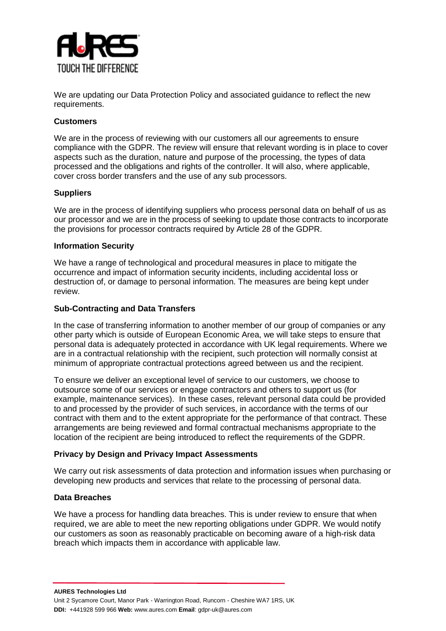

We are updating our Data Protection Policy and associated guidance to reflect the new requirements.

## **Customers**

We are in the process of reviewing with our customers all our agreements to ensure compliance with the GDPR. The review will ensure that relevant wording is in place to cover aspects such as the duration, nature and purpose of the processing, the types of data processed and the obligations and rights of the controller. It will also, where applicable, cover cross border transfers and the use of any sub processors.

### **Suppliers**

We are in the process of identifying suppliers who process personal data on behalf of us as our processor and we are in the process of seeking to update those contracts to incorporate the provisions for processor contracts required by Article 28 of the GDPR.

### **Information Security**

We have a range of technological and procedural measures in place to mitigate the occurrence and impact of information security incidents, including accidental loss or destruction of, or damage to personal information. The measures are being kept under review.

### **Sub-Contracting and Data Transfers**

In the case of transferring information to another member of our group of companies or any other party which is outside of European Economic Area, we will take steps to ensure that personal data is adequately protected in accordance with UK legal requirements. Where we are in a contractual relationship with the recipient, such protection will normally consist at minimum of appropriate contractual protections agreed between us and the recipient.

To ensure we deliver an exceptional level of service to our customers, we choose to outsource some of our services or engage contractors and others to support us (for example, maintenance services). In these cases, relevant personal data could be provided to and processed by the provider of such services, in accordance with the terms of our contract with them and to the extent appropriate for the performance of that contract. These arrangements are being reviewed and formal contractual mechanisms appropriate to the location of the recipient are being introduced to reflect the requirements of the GDPR.

# **Privacy by Design and Privacy Impact Assessments**

We carry out risk assessments of data protection and information issues when purchasing or developing new products and services that relate to the processing of personal data.

#### **Data Breaches**

We have a process for handling data breaches. This is under review to ensure that when required, we are able to meet the new reporting obligations under GDPR. We would notify our customers as soon as reasonably practicable on becoming aware of a high-risk data breach which impacts them in accordance with applicable law.